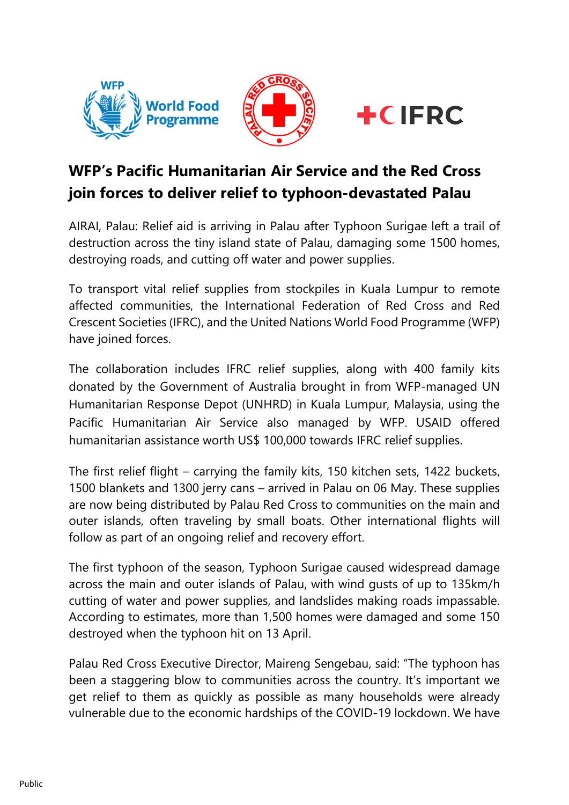





## **WFP's Pacific Humanitarian Air Service and the Red Cross join forces to deliver relief to typhoon-devastated Palau**

AIRAI, Palau: Relief aid is arriving in Palau after Typhoon Surigae left a trail of destruction across the tiny island state of Palau, damaging some 1500 homes, destroying roads, and cutting off water and power supplies.

To transport vital relief supplies from stockpiles in Kuala Lumpur to remote affected communities, the International Federation of Red Cross and Red Crescent Societies (IFRC), and the United Nations World Food Programme (WFP) have joined forces.

The collaboration includes IFRC relief supplies, along with 400 family kits donated by the Government of Australia brought in from WFP-managed UN Humanitarian Response Depot (UNHRD) in Kuala Lumpur, Malaysia, using the Pacific Humanitarian Air Service also managed by WFP. USAID offered humanitarian assistance worth US\$ 100,000 towards IFRC relief supplies.

The first relief flight – carrying the family kits, 150 kitchen sets, 1422 buckets, 1500 blankets and 1300 jerry cans – arrived in Palau on 06 May. These supplies are now being distributed by Palau Red Cross to communities on the main and outer islands, often traveling by small boats. Other international flights will follow as part of an ongoing relief and recovery effort.

The first typhoon of the season, Typhoon Surigae caused widespread damage across the main and outer islands of Palau, with wind gusts of up to 135km/h cutting of water and power supplies, and landslides making roads impassable. According to estimates, more than 1,500 homes were damaged and some 150 destroyed when the typhoon hit on 13 April.

Palau Red Cross Executive Director, Maireng Sengebau, said: "The typhoon has been a staggering blow to communities across the country. It's important we get relief to them as quickly as possible as many households were already vulnerable due to the economic hardships of the COVID-19 lockdown. We have